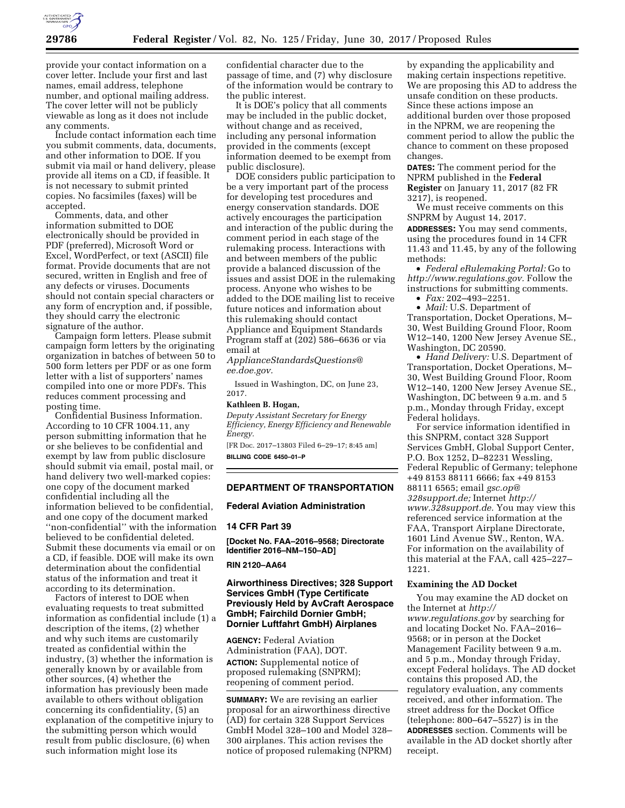

provide your contact information on a cover letter. Include your first and last names, email address, telephone number, and optional mailing address. The cover letter will not be publicly viewable as long as it does not include any comments.

Include contact information each time you submit comments, data, documents, and other information to DOE. If you submit via mail or hand delivery, please provide all items on a CD, if feasible. It is not necessary to submit printed copies. No facsimiles (faxes) will be accepted.

Comments, data, and other information submitted to DOE electronically should be provided in PDF (preferred), Microsoft Word or Excel, WordPerfect, or text (ASCII) file format. Provide documents that are not secured, written in English and free of any defects or viruses. Documents should not contain special characters or any form of encryption and, if possible, they should carry the electronic signature of the author.

Campaign form letters. Please submit campaign form letters by the originating organization in batches of between 50 to 500 form letters per PDF or as one form letter with a list of supporters' names compiled into one or more PDFs. This reduces comment processing and posting time.

Confidential Business Information. According to 10 CFR 1004.11, any person submitting information that he or she believes to be confidential and exempt by law from public disclosure should submit via email, postal mail, or hand delivery two well-marked copies: one copy of the document marked confidential including all the information believed to be confidential, and one copy of the document marked ''non-confidential'' with the information believed to be confidential deleted. Submit these documents via email or on a CD, if feasible. DOE will make its own determination about the confidential status of the information and treat it according to its determination.

Factors of interest to DOE when evaluating requests to treat submitted information as confidential include (1) a description of the items, (2) whether and why such items are customarily treated as confidential within the industry, (3) whether the information is generally known by or available from other sources, (4) whether the information has previously been made available to others without obligation concerning its confidentiality, (5) an explanation of the competitive injury to the submitting person which would result from public disclosure, (6) when such information might lose its

confidential character due to the passage of time, and (7) why disclosure of the information would be contrary to the public interest.

It is DOE's policy that all comments may be included in the public docket, without change and as received, including any personal information provided in the comments (except information deemed to be exempt from public disclosure).

DOE considers public participation to be a very important part of the process for developing test procedures and energy conservation standards. DOE actively encourages the participation and interaction of the public during the comment period in each stage of the rulemaking process. Interactions with and between members of the public provide a balanced discussion of the issues and assist DOE in the rulemaking process. Anyone who wishes to be added to the DOE mailing list to receive future notices and information about this rulemaking should contact Appliance and Equipment Standards Program staff at (202) 586–6636 or via email at

*[ApplianceStandardsQuestions@](mailto:ApplianceStandardsQuestions@ee.doe.gov) [ee.doe.gov.](mailto:ApplianceStandardsQuestions@ee.doe.gov)* 

Issued in Washington, DC, on June 23, 2017.

## **Kathleen B. Hogan,**

*Deputy Assistant Secretary for Energy Efficiency, Energy Efficiency and Renewable Energy.* 

[FR Doc. 2017–13803 Filed 6–29–17; 8:45 am] **BILLING CODE 6450–01–P** 

# **DEPARTMENT OF TRANSPORTATION**

## **Federal Aviation Administration**

# **14 CFR Part 39**

**[Docket No. FAA–2016–9568; Directorate Identifier 2016–NM–150–AD]** 

# **RIN 2120–AA64**

# **Airworthiness Directives; 328 Support Services GmbH (Type Certificate Previously Held by AvCraft Aerospace GmbH; Fairchild Dornier GmbH; Dornier Luftfahrt GmbH) Airplanes**

**AGENCY:** Federal Aviation Administration (FAA), DOT. **ACTION:** Supplemental notice of proposed rulemaking (SNPRM); reopening of comment period.

**SUMMARY:** We are revising an earlier proposal for an airworthiness directive (AD) for certain 328 Support Services GmbH Model 328–100 and Model 328– 300 airplanes. This action revises the notice of proposed rulemaking (NPRM) by expanding the applicability and making certain inspections repetitive. We are proposing this AD to address the unsafe condition on these products. Since these actions impose an additional burden over those proposed in the NPRM, we are reopening the comment period to allow the public the chance to comment on these proposed changes.

**DATES:** The comment period for the NPRM published in the **Federal Register** on January 11, 2017 (82 FR 3217), is reopened.

We must receive comments on this SNPRM by August 14, 2017.

**ADDRESSES:** You may send comments, using the procedures found in 14 CFR 11.43 and 11.45, by any of the following methods:

• *Federal eRulemaking Portal:* Go to *[http://www.regulations.gov.](http://www.regulations.gov)* Follow the instructions for submitting comments.

• *Fax:* 202–493–2251.

• *Mail:* U.S. Department of Transportation, Docket Operations, M– 30, West Building Ground Floor, Room W12–140, 1200 New Jersey Avenue SE., Washington, DC 20590.

• *Hand Delivery:* U.S. Department of Transportation, Docket Operations, M– 30, West Building Ground Floor, Room W12–140, 1200 New Jersey Avenue SE., Washington, DC between 9 a.m. and 5 p.m., Monday through Friday, except Federal holidays.

For service information identified in this SNPRM, contact 328 Support Services GmbH, Global Support Center, P.O. Box 1252, D–82231 Wessling, Federal Republic of Germany; telephone +49 8153 88111 6666; fax +49 8153 88111 6565; email *[gsc.op@](mailto:gsc.op@328support.de) [328support.de;](mailto:gsc.op@328support.de)* Internet *[http://](http://www.328support.de) [www.328support.de.](http://www.328support.de)* You may view this referenced service information at the FAA, Transport Airplane Directorate, 1601 Lind Avenue SW., Renton, WA. For information on the availability of this material at the FAA, call 425–227– 1221.

## **Examining the AD Docket**

You may examine the AD docket on the Internet at *[http://](http://www.regulations.gov) [www.regulations.gov](http://www.regulations.gov)* by searching for and locating Docket No. FAA–2016– 9568; or in person at the Docket Management Facility between 9 a.m. and 5 p.m., Monday through Friday, except Federal holidays. The AD docket contains this proposed AD, the regulatory evaluation, any comments received, and other information. The street address for the Docket Office (telephone: 800–647–5527) is in the **ADDRESSES** section. Comments will be available in the AD docket shortly after receipt.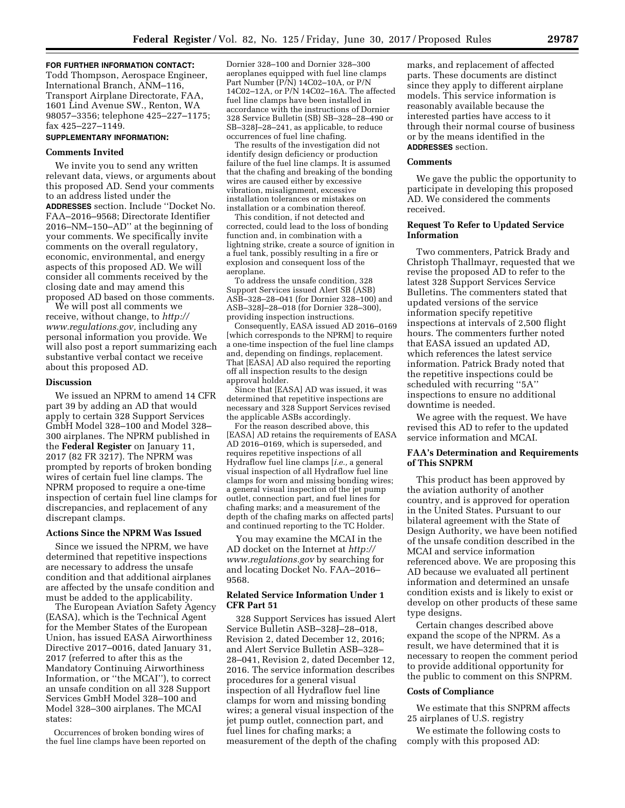## **FOR FURTHER INFORMATION CONTACT:**

Todd Thompson, Aerospace Engineer, International Branch, ANM–116, Transport Airplane Directorate, FAA, 1601 Lind Avenue SW., Renton, WA 98057–3356; telephone 425–227–1175; fax 425–227–1149.

# **SUPPLEMENTARY INFORMATION:**

## **Comments Invited**

We invite you to send any written relevant data, views, or arguments about this proposed AD. Send your comments to an address listed under the **ADDRESSES** section. Include ''Docket No. FAA–2016–9568; Directorate Identifier 2016–NM–150–AD'' at the beginning of your comments. We specifically invite comments on the overall regulatory, economic, environmental, and energy aspects of this proposed AD. We will consider all comments received by the closing date and may amend this proposed AD based on those comments.

We will post all comments we receive, without change, to *[http://](http://www.regulations.gov) [www.regulations.gov,](http://www.regulations.gov)* including any personal information you provide. We will also post a report summarizing each substantive verbal contact we receive about this proposed AD.

## **Discussion**

We issued an NPRM to amend 14 CFR part 39 by adding an AD that would apply to certain 328 Support Services GmbH Model 328–100 and Model 328– 300 airplanes. The NPRM published in the **Federal Register** on January 11, 2017 (82 FR 3217). The NPRM was prompted by reports of broken bonding wires of certain fuel line clamps. The NPRM proposed to require a one-time inspection of certain fuel line clamps for discrepancies, and replacement of any discrepant clamps.

# **Actions Since the NPRM Was Issued**

Since we issued the NPRM, we have determined that repetitive inspections are necessary to address the unsafe condition and that additional airplanes are affected by the unsafe condition and must be added to the applicability.

The European Aviation Safety Agency (EASA), which is the Technical Agent for the Member States of the European Union, has issued EASA Airworthiness Directive 2017–0016, dated January 31, 2017 (referred to after this as the Mandatory Continuing Airworthiness Information, or ''the MCAI''), to correct an unsafe condition on all 328 Support Services GmbH Model 328–100 and Model 328–300 airplanes. The MCAI states:

Occurrences of broken bonding wires of the fuel line clamps have been reported on Dornier 328–100 and Dornier 328–300 aeroplanes equipped with fuel line clamps Part Number (P/N) 14C02–10A, or P/N 14C02–12A, or P/N 14C02–16A. The affected fuel line clamps have been installed in accordance with the instructions of Dornier 328 Service Bulletin (SB) SB–328–28–490 or SB–328J–28–241, as applicable, to reduce occurrences of fuel line chafing.

The results of the investigation did not identify design deficiency or production failure of the fuel line clamps. It is assumed that the chafing and breaking of the bonding wires are caused either by excessive vibration, misalignment, excessive installation tolerances or mistakes on installation or a combination thereof.

This condition, if not detected and corrected, could lead to the loss of bonding function and, in combination with a lightning strike, create a source of ignition in a fuel tank, possibly resulting in a fire or explosion and consequent loss of the aeroplane.

To address the unsafe condition, 328 Support Services issued Alert SB (ASB) ASB–328–28–041 (for Dornier 328–100) and ASB–328J–28–018 (for Dornier 328–300), providing inspection instructions.

Consequently, EASA issued AD 2016–0169 [which corresponds to the NPRM] to require a one-time inspection of the fuel line clamps and, depending on findings, replacement. That [EASA] AD also required the reporting off all inspection results to the design approval holder.

Since that [EASA] AD was issued, it was determined that repetitive inspections are necessary and 328 Support Services revised the applicable ASBs accordingly.

For the reason described above, this [EASA] AD retains the requirements of EASA AD 2016–0169, which is superseded, and requires repetitive inspections of all Hydraflow fuel line clamps [*i.e.,* a general visual inspection of all Hydraflow fuel line clamps for worn and missing bonding wires; a general visual inspection of the jet pump outlet, connection part, and fuel lines for chafing marks; and a measurement of the depth of the chafing marks on affected parts] and continued reporting to the TC Holder.

You may examine the MCAI in the AD docket on the Internet at *[http://](http://www.regulations.gov) [www.regulations.gov](http://www.regulations.gov)* by searching for and locating Docket No. FAA–2016– 9568.

# **Related Service Information Under 1 CFR Part 51**

328 Support Services has issued Alert Service Bulletin ASB–328J–28–018, Revision 2, dated December 12, 2016; and Alert Service Bulletin ASB–328– 28–041, Revision 2, dated December 12, 2016. The service information describes procedures for a general visual inspection of all Hydraflow fuel line clamps for worn and missing bonding wires; a general visual inspection of the jet pump outlet, connection part, and fuel lines for chafing marks; a measurement of the depth of the chafing

marks, and replacement of affected parts. These documents are distinct since they apply to different airplane models. This service information is reasonably available because the interested parties have access to it through their normal course of business or by the means identified in the **ADDRESSES** section.

## **Comments**

We gave the public the opportunity to participate in developing this proposed AD. We considered the comments received.

# **Request To Refer to Updated Service Information**

Two commenters, Patrick Brady and Christoph Thallmayr, requested that we revise the proposed AD to refer to the latest 328 Support Services Service Bulletins. The commenters stated that updated versions of the service information specify repetitive inspections at intervals of 2,500 flight hours. The commenters further noted that EASA issued an updated AD, which references the latest service information. Patrick Brady noted that the repetitive inspections could be scheduled with recurring ''5A'' inspections to ensure no additional downtime is needed.

We agree with the request. We have revised this AD to refer to the updated service information and MCAI.

# **FAA's Determination and Requirements of This SNPRM**

This product has been approved by the aviation authority of another country, and is approved for operation in the United States. Pursuant to our bilateral agreement with the State of Design Authority, we have been notified of the unsafe condition described in the MCAI and service information referenced above. We are proposing this AD because we evaluated all pertinent information and determined an unsafe condition exists and is likely to exist or develop on other products of these same type designs.

Certain changes described above expand the scope of the NPRM. As a result, we have determined that it is necessary to reopen the comment period to provide additional opportunity for the public to comment on this SNPRM.

# **Costs of Compliance**

We estimate that this SNPRM affects 25 airplanes of U.S. registry

We estimate the following costs to comply with this proposed AD: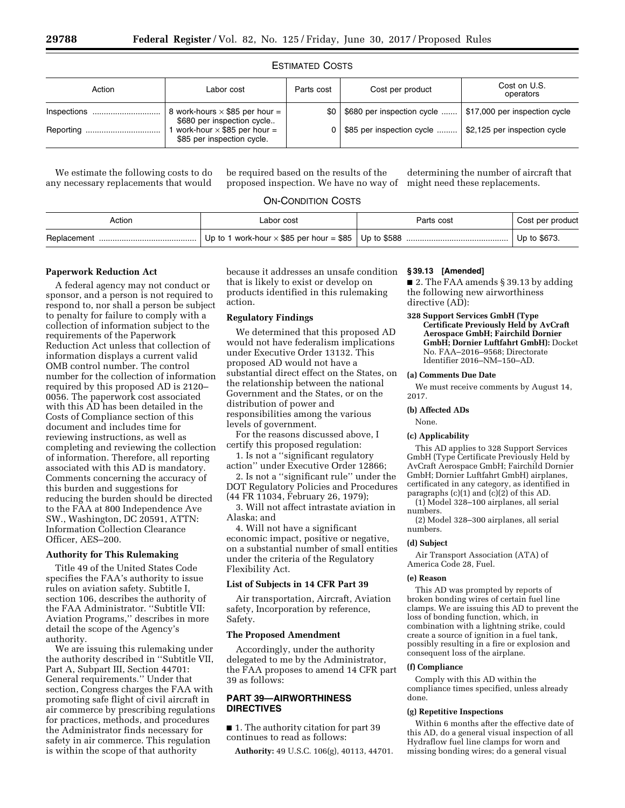# ESTIMATED COSTS

| Action      | Labor cost                                                          | Parts cost | Cost per product           | Cost on U.S.<br>operators     |
|-------------|---------------------------------------------------------------------|------------|----------------------------|-------------------------------|
| Inspections | 8 work-hours $\times$ \$85 per hour =<br>\$680 per inspection cycle | \$0        | \$680 per inspection cycle | \$17,000 per inspection cycle |
|             | work-hour $\times$ \$85 per hour =<br>\$85 per inspection cycle.    |            | \$85 per inspection cycle  | \$2,125 per inspection cycle  |

We estimate the following costs to do any necessary replacements that would

be required based on the results of the proposed inspection. We have no way of

determining the number of aircraft that might need these replacements.

# ON-CONDITION COSTS

| Action | Labor cost | Parts cost | Cost per product |
|--------|------------|------------|------------------|
|        |            |            |                  |

## **Paperwork Reduction Act**

A federal agency may not conduct or sponsor, and a person is not required to respond to, nor shall a person be subject to penalty for failure to comply with a collection of information subject to the requirements of the Paperwork Reduction Act unless that collection of information displays a current valid OMB control number. The control number for the collection of information required by this proposed AD is 2120– 0056. The paperwork cost associated with this AD has been detailed in the Costs of Compliance section of this document and includes time for reviewing instructions, as well as completing and reviewing the collection of information. Therefore, all reporting associated with this AD is mandatory. Comments concerning the accuracy of this burden and suggestions for reducing the burden should be directed to the FAA at 800 Independence Ave SW., Washington, DC 20591, ATTN: Information Collection Clearance Officer, AES–200.

# **Authority for This Rulemaking**

Title 49 of the United States Code specifies the FAA's authority to issue rules on aviation safety. Subtitle I, section 106, describes the authority of the FAA Administrator. ''Subtitle VII: Aviation Programs,'' describes in more detail the scope of the Agency's authority.

We are issuing this rulemaking under the authority described in ''Subtitle VII, Part A, Subpart III, Section 44701: General requirements.'' Under that section, Congress charges the FAA with promoting safe flight of civil aircraft in air commerce by prescribing regulations for practices, methods, and procedures the Administrator finds necessary for safety in air commerce. This regulation is within the scope of that authority

because it addresses an unsafe condition **§ 39.13 [Amended]**  that is likely to exist or develop on products identified in this rulemaking action.

# **Regulatory Findings**

We determined that this proposed AD would not have federalism implications under Executive Order 13132. This proposed AD would not have a substantial direct effect on the States, on the relationship between the national Government and the States, or on the distribution of power and responsibilities among the various levels of government.

For the reasons discussed above, I certify this proposed regulation:

1. Is not a ''significant regulatory action'' under Executive Order 12866;

2. Is not a ''significant rule'' under the DOT Regulatory Policies and Procedures (44 FR 11034, February 26, 1979);

3. Will not affect intrastate aviation in Alaska; and

4. Will not have a significant economic impact, positive or negative, on a substantial number of small entities under the criteria of the Regulatory Flexibility Act.

## **List of Subjects in 14 CFR Part 39**

Air transportation, Aircraft, Aviation safety, Incorporation by reference, Safety.

## **The Proposed Amendment**

Accordingly, under the authority delegated to me by the Administrator, the FAA proposes to amend 14 CFR part 39 as follows:

# **PART 39—AIRWORTHINESS DIRECTIVES**

■ 1. The authority citation for part 39 continues to read as follows:

**Authority:** 49 U.S.C. 106(g), 40113, 44701.

■ 2. The FAA amends § 39.13 by adding the following new airworthiness directive (AD):

**328 Support Services GmbH (Type Certificate Previously Held by AvCraft Aerospace GmbH; Fairchild Dornier GmbH; Dornier Luftfahrt GmbH):** Docket No. FAA–2016–9568; Directorate Identifier 2016–NM–150–AD.

## **(a) Comments Due Date**

We must receive comments by August 14, 2017.

# **(b) Affected ADs**

None.

# **(c) Applicability**

This AD applies to 328 Support Services GmbH (Type Certificate Previously Held by AvCraft Aerospace GmbH; Fairchild Dornier GmbH; Dornier Luftfahrt GmbH) airplanes, certificated in any category, as identified in paragraphs  $(c)(1)$  and  $(c)(2)$  of this AD.

(1) Model 328–100 airplanes, all serial numbers.

(2) Model 328–300 airplanes, all serial numbers.

## **(d) Subject**

Air Transport Association (ATA) of America Code 28, Fuel.

## **(e) Reason**

This AD was prompted by reports of broken bonding wires of certain fuel line clamps. We are issuing this AD to prevent the loss of bonding function, which, in combination with a lightning strike, could create a source of ignition in a fuel tank, possibly resulting in a fire or explosion and consequent loss of the airplane.

# **(f) Compliance**

Comply with this AD within the compliance times specified, unless already done.

#### **(g) Repetitive Inspections**

Within 6 months after the effective date of this AD, do a general visual inspection of all Hydraflow fuel line clamps for worn and missing bonding wires; do a general visual